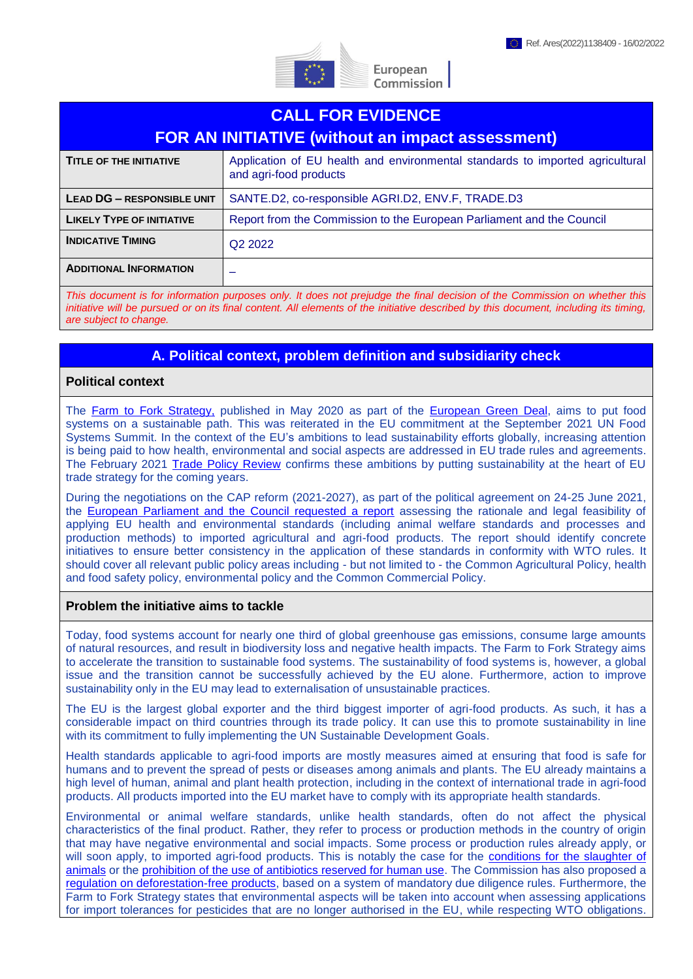

| <b>CALL FOR EVIDENCE</b><br><b>FOR AN INITIATIVE (without an impact assessment)</b>                                       |                                                                                                         |
|---------------------------------------------------------------------------------------------------------------------------|---------------------------------------------------------------------------------------------------------|
| <b>TITLE OF THE INITIATIVE</b>                                                                                            | Application of EU health and environmental standards to imported agricultural<br>and agri-food products |
| <b>LEAD DG - RESPONSIBLE UNIT</b>                                                                                         | SANTE.D2, co-responsible AGRI.D2, ENV.F, TRADE.D3                                                       |
| <b>LIKELY TYPE OF INITIATIVE</b>                                                                                          | Report from the Commission to the European Parliament and the Council                                   |
| <b>INDICATIVE TIMING</b>                                                                                                  | Q <sub>2</sub> 2022                                                                                     |
| <b>ADDITIONAL INFORMATION</b>                                                                                             |                                                                                                         |
| This document is for information purposes only. It does not prejudge the final decision of the Commission on whether this |                                                                                                         |

European Commission

*This document is for information purposes only. It does not prejudge the final decision of the Commission on whether this initiative will be pursued or on its final content. All elements of the initiative described by this document, including its timing, are subject to change.*

## **A. Political context, problem definition and subsidiarity check**

### **Political context**

The [Farm to Fork Strategy,](https://ec.europa.eu/food/horizontal-topics/farm-fork-strategy_en) published in May 2020 as part of the [European Green Deal,](https://ec.europa.eu/info/strategy/priorities-2019-2024/european-green-deal_en) aims to put food systems on a sustainable path. This was reiterated in the EU commitment at the September 2021 UN Food Systems Summit. In the context of the EU's ambitions to lead sustainability efforts globally, increasing attention is being paid to how health, environmental and social aspects are addressed in EU trade rules and agreements. The February 2021 [Trade Policy Review](https://trade.ec.europa.eu/doclib/docs/2021/february/tradoc_159438.pdf) confirms these ambitions by putting sustainability at the heart of EU trade strategy for the coming years.

During the negotiations on the CAP reform (2021-2027), as part of the political agreement on 24-25 June 2021, the [European Parliament and the Council requested a report](https://data.consilium.europa.eu/doc/document/ST-10991-2021-ADD-1/en/pdf) assessing the rationale and legal feasibility of applying EU health and environmental standards (including animal welfare standards and processes and production methods) to imported agricultural and agri-food products. The report should identify concrete initiatives to ensure better consistency in the application of these standards in conformity with WTO rules. It should cover all relevant public policy areas including - but not limited to - the Common Agricultural Policy, health and food safety policy, environmental policy and the Common Commercial Policy.

#### **Problem the initiative aims to tackle**

Today, food systems account for nearly one third of global greenhouse gas emissions, consume large amounts of natural resources, and result in biodiversity loss and negative health impacts. The Farm to Fork Strategy aims to accelerate the transition to sustainable food systems. The sustainability of food systems is, however, a global issue and the transition cannot be successfully achieved by the EU alone. Furthermore, action to improve sustainability only in the EU may lead to externalisation of unsustainable practices.

The EU is the largest global exporter and the third biggest importer of agri-food products. As such, it has a considerable impact on third countries through its trade policy. It can use this to promote sustainability in line with its commitment to fully implementing the UN Sustainable Development Goals.

Health standards applicable to agri-food imports are mostly measures aimed at ensuring that food is safe for humans and to prevent the spread of pests or diseases among animals and plants. The EU already maintains a high level of human, animal and plant health protection, including in the context of international trade in agri-food products. All products imported into the EU market have to comply with its appropriate health standards.

Environmental or animal welfare standards, unlike health standards, often do not affect the physical characteristics of the final product. Rather, they refer to process or production methods in the country of origin that may have negative environmental and social impacts. Some process or production rules already apply, or will soon apply, to imported agri-food products. This is notably the case for the [conditions for the slaughter of](https://eur-lex.europa.eu/legal-content/EN/TXT/?uri=CELEX%3A02009R1099-20191214)  [animals](https://eur-lex.europa.eu/legal-content/EN/TXT/?uri=CELEX%3A02009R1099-20191214) or the [prohibition of the use of antibiotics reserved for human use.](https://eur-lex.europa.eu/eli/reg/2019/6/oj) The Commission has also proposed a [regulation on deforestation-free products,](https://ec.europa.eu/environment/publications/proposal-regulation-deforestation-free-products_en) based on a system of mandatory due diligence rules. Furthermore, the Farm to Fork Strategy states that environmental aspects will be taken into account when assessing applications for import tolerances for pesticides that are no longer authorised in the EU, while respecting WTO obligations.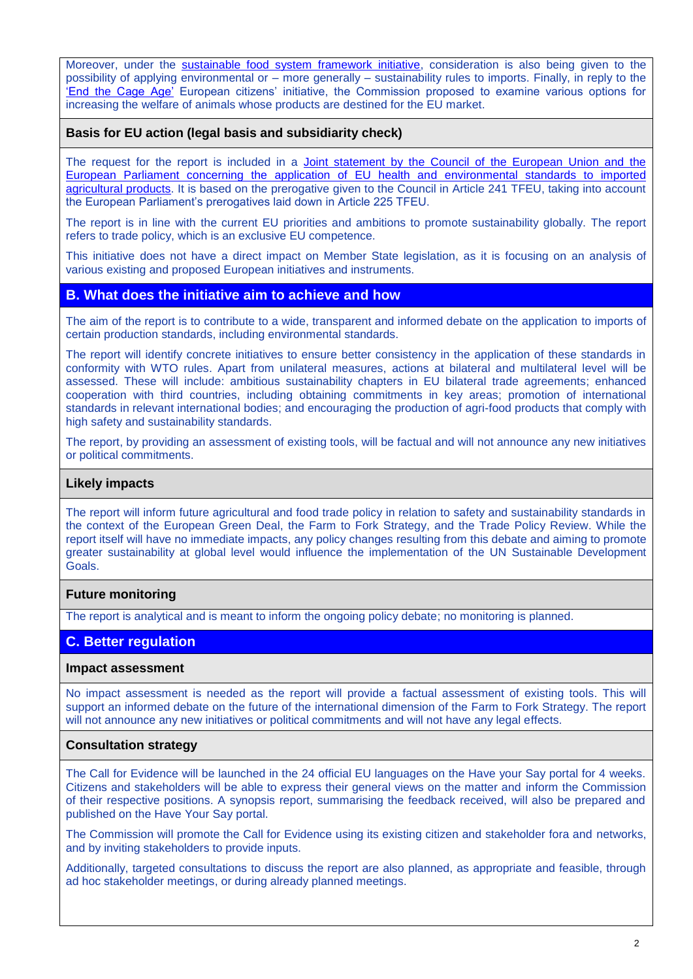Moreover, under the [sustainable food system framework initiative,](https://ec.europa.eu/info/law/better-regulation/have-your-say/initiatives/13174-Sustainable-EU-food-system-new-initiative_en) consideration is also being given to the possibility of applying environmental or – more generally – sustainability rules to imports. Finally, in reply to the 'End the [Cage Age'](https://europa.eu/citizens-initiative/initiatives/details/2018/000004_en) European citizens' initiative, the Commission proposed to examine various options for increasing the welfare of animals whose products are destined for the EU market.

### **Basis for EU action (legal basis and subsidiarity check)**

The request for the report is included in a [Joint statement by the Council of the European Union and the](https://data.consilium.europa.eu/doc/document/ST-10991-2021-ADD-1/en/pdf)  [European Parliament concerning the application of EU health and environmental standards to imported](https://data.consilium.europa.eu/doc/document/ST-10991-2021-ADD-1/en/pdf)  [agricultural products.](https://data.consilium.europa.eu/doc/document/ST-10991-2021-ADD-1/en/pdf) It is based on the prerogative given to the Council in Article 241 TFEU, taking into account the European Parliament's prerogatives laid down in Article 225 TFEU.

The report is in line with the current EU priorities and ambitions to promote sustainability globally. The report refers to trade policy, which is an exclusive EU competence.

This initiative does not have a direct impact on Member State legislation, as it is focusing on an analysis of various existing and proposed European initiatives and instruments.

## **B. What does the initiative aim to achieve and how**

The aim of the report is to contribute to a wide, transparent and informed debate on the application to imports of certain production standards, including environmental standards.

The report will identify concrete initiatives to ensure better consistency in the application of these standards in conformity with WTO rules. Apart from unilateral measures, actions at bilateral and multilateral level will be assessed. These will include: ambitious sustainability chapters in EU bilateral trade agreements; enhanced cooperation with third countries, including obtaining commitments in key areas; promotion of international standards in relevant international bodies; and encouraging the production of agri-food products that comply with high safety and sustainability standards.

The report, by providing an assessment of existing tools, will be factual and will not announce any new initiatives or political commitments.

### **Likely impacts**

The report will inform future agricultural and food trade policy in relation to safety and sustainability standards in the context of the European Green Deal, the Farm to Fork Strategy, and the Trade Policy Review. While the report itself will have no immediate impacts, any policy changes resulting from this debate and aiming to promote greater sustainability at global level would influence the implementation of the UN Sustainable Development Goals.

## **Future monitoring**

The report is analytical and is meant to inform the ongoing policy debate; no monitoring is planned.

# **C. Better regulation**

### **Impact assessment**

No impact assessment is needed as the report will provide a factual assessment of existing tools. This will support an informed debate on the future of the international dimension of the Farm to Fork Strategy. The report will not announce any new initiatives or political commitments and will not have any legal effects.

### **Consultation strategy**

The Call for Evidence will be launched in the 24 official EU languages on the Have your Say portal for 4 weeks. Citizens and stakeholders will be able to express their general views on the matter and inform the Commission of their respective positions. A synopsis report, summarising the feedback received, will also be prepared and published on the Have Your Say portal.

The Commission will promote the Call for Evidence using its existing citizen and stakeholder fora and networks, and by inviting stakeholders to provide inputs.

Additionally, targeted consultations to discuss the report are also planned, as appropriate and feasible, through ad hoc stakeholder meetings, or during already planned meetings.